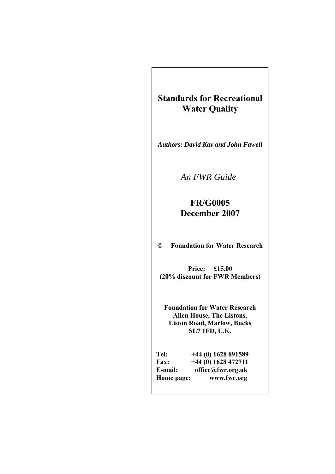# **Standards for Recreational Water Quality**

*Authors: David Kay and John Fawell* 

*An FWR Guide* 

## **FR/G0005 December 2007**

**© Foundation for Water Research** 

**Price: £15.00 (20% discount for FWR Members)** 

**Foundation for Water Research Allen House, The Listons, Liston Road, Marlow, Bucks SL7 1FD, U.K.** 

| Tel:        | $+44(0)$ 1628 891589 |
|-------------|----------------------|
| <b>Fax:</b> | $+44(0)$ 1628 472711 |
| E-mail:     | office@fwr.org.uk    |
| Home page:  | www.fwr.org          |
|             |                      |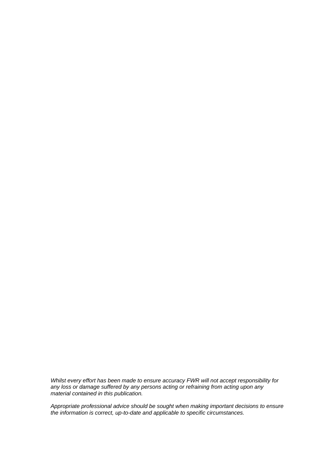*Whilst every effort has been made to ensure accuracy FWR will not accept responsibility for any loss or damage suffered by any persons acting or refraining from acting upon any material contained in this publication.* 

*Appropriate professional advice should be sought when making important decisions to ensure the information is correct, up-to-date and applicable to specific circumstances.*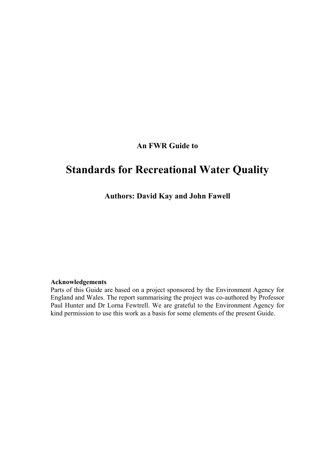### **An FWR Guide to**

# **Standards for Recreational Water Quality**

**Authors: David Kay and John Fawell** 

#### **Acknowledgements**

Parts of this Guide are based on a project sponsored by the Environment Agency for England and Wales. The report summarising the project was co-authored by Professor Paul Hunter and Dr Lorna Fewtrell. We are grateful to the Environment Agency for kind permission to use this work as a basis for some elements of the present Guide.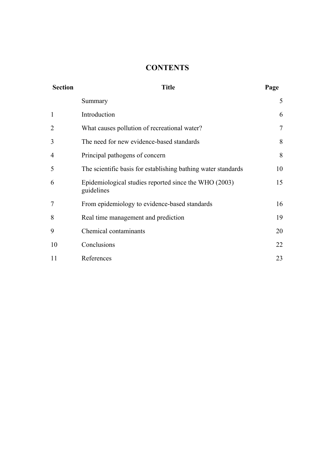### **CONTENTS**

| <b>Section</b> | <b>Title</b>                                                        |        |
|----------------|---------------------------------------------------------------------|--------|
|                | Summary                                                             | 5      |
|                | Introduction                                                        | 6      |
| $\overline{2}$ | What causes pollution of recreational water?                        | $\tau$ |
| 3              | The need for new evidence-based standards                           | 8      |
| 4              | Principal pathogens of concern                                      | 8      |
| 5              | The scientific basis for establishing bathing water standards       | 10     |
| 6              | Epidemiological studies reported since the WHO (2003)<br>guidelines | 15     |
| $\overline{7}$ | From epidemiology to evidence-based standards                       | 16     |
| 8              | Real time management and prediction                                 | 19     |
| 9              | Chemical contaminants                                               | 20     |
| 10             | Conclusions                                                         | 22     |
| 11             | References                                                          | 23     |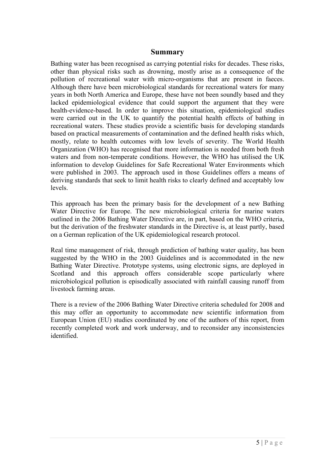#### **Summary**

Bathing water has been recognised as carrying potential risks for decades. These risks, other than physical risks such as drowning, mostly arise as a consequence of the pollution of recreational water with micro-organisms that are present in faeces. Although there have been microbiological standards for recreational waters for many years in both North America and Europe, these have not been soundly based and they lacked epidemiological evidence that could support the argument that they were health-evidence-based. In order to improve this situation, epidemiological studies were carried out in the UK to quantify the potential health effects of bathing in recreational waters. These studies provide a scientific basis for developing standards based on practical measurements of contamination and the defined health risks which, mostly, relate to health outcomes with low levels of severity. The World Health Organization (WHO) has recognised that more information is needed from both fresh waters and from non-temperate conditions. However, the WHO has utilised the UK information to develop Guidelines for Safe Recreational Water Environments which were published in 2003. The approach used in those Guidelines offers a means of deriving standards that seek to limit health risks to clearly defined and acceptably low levels.

This approach has been the primary basis for the development of a new Bathing Water Directive for Europe. The new microbiological criteria for marine waters outlined in the 2006 Bathing Water Directive are, in part, based on the WHO criteria, but the derivation of the freshwater standards in the Directive is, at least partly, based on a German replication of the UK epidemiological research protocol.

Real time management of risk, through prediction of bathing water quality, has been suggested by the WHO in the 2003 Guidelines and is accommodated in the new Bathing Water Directive. Prototype systems, using electronic signs, are deployed in Scotland and this approach offers considerable scope particularly where microbiological pollution is episodically associated with rainfall causing runoff from livestock farming areas.

There is a review of the 2006 Bathing Water Directive criteria scheduled for 2008 and this may offer an opportunity to accommodate new scientific information from European Union (EU) studies coordinated by one of the authors of this report, from recently completed work and work underway, and to reconsider any inconsistencies identified.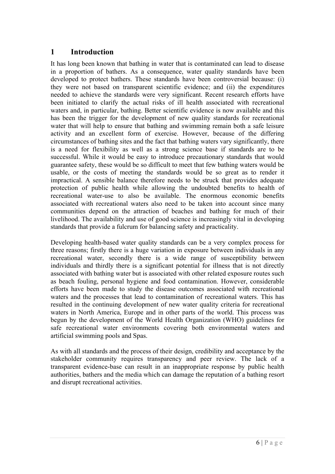#### **1 Introduction**

It has long been known that bathing in water that is contaminated can lead to disease in a proportion of bathers. As a consequence, water quality standards have been developed to protect bathers. These standards have been controversial because: (i) they were not based on transparent scientific evidence; and (ii) the expenditures needed to achieve the standards were very significant. Recent research efforts have been initiated to clarify the actual risks of ill health associated with recreational waters and, in particular, bathing. Better scientific evidence is now available and this has been the trigger for the development of new quality standards for recreational water that will help to ensure that bathing and swimming remain both a safe leisure activity and an excellent form of exercise. However, because of the differing circumstances of bathing sites and the fact that bathing waters vary significantly, there is a need for flexibility as well as a strong science base if standards are to be successful. While it would be easy to introduce precautionary standards that would guarantee safety, these would be so difficult to meet that few bathing waters would be usable, or the costs of meeting the standards would be so great as to render it impractical. A sensible balance therefore needs to be struck that provides adequate protection of public health while allowing the undoubted benefits to health of recreational water-use to also be available. The enormous economic benefits associated with recreational waters also need to be taken into account since many communities depend on the attraction of beaches and bathing for much of their livelihood. The availability and use of good science is increasingly vital in developing standards that provide a fulcrum for balancing safety and practicality.

Developing health-based water quality standards can be a very complex process for three reasons; firstly there is a huge variation in exposure between individuals in any recreational water, secondly there is a wide range of susceptibility between individuals and thirdly there is a significant potential for illness that is not directly associated with bathing water but is associated with other related exposure routes such as beach fouling, personal hygiene and food contamination. However, considerable efforts have been made to study the disease outcomes associated with recreational waters and the processes that lead to contamination of recreational waters. This has resulted in the continuing development of new water quality criteria for recreational waters in North America, Europe and in other parts of the world. This process was begun by the development of the World Health Organization (WHO) guidelines for safe recreational water environments covering both environmental waters and artificial swimming pools and Spas.

As with all standards and the process of their design, credibility and acceptance by the stakeholder community requires transparency and peer review. The lack of a transparent evidence-base can result in an inappropriate response by public health authorities, bathers and the media which can damage the reputation of a bathing resort and disrupt recreational activities.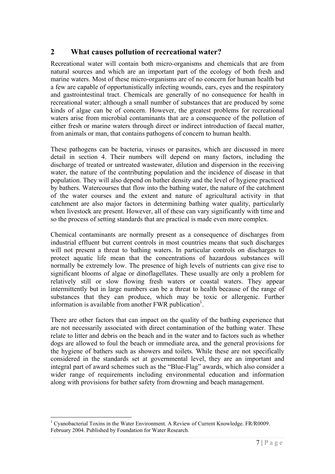#### **2 What causes pollution of recreational water?**

Recreational water will contain both micro-organisms and chemicals that are from natural sources and which are an important part of the ecology of both fresh and marine waters. Most of these micro-organisms are of no concern for human health but a few are capable of opportunistically infecting wounds, ears, eyes and the respiratory and gastrointestinal tract. Chemicals are generally of no consequence for health in recreational water; although a small number of substances that are produced by some kinds of algae can be of concern. However, the greatest problems for recreational waters arise from microbial contaminants that are a consequence of the pollution of either fresh or marine waters through direct or indirect introduction of faecal matter, from animals or man, that contains pathogens of concern to human health.

These pathogens can be bacteria, viruses or parasites, which are discussed in more detail in section 4. Their numbers will depend on many factors, including the discharge of treated or untreated wastewater, dilution and dispersion in the receiving water, the nature of the contributing population and the incidence of disease in that population. They will also depend on bather density and the level of hygiene practiced by bathers. Watercourses that flow into the bathing water, the nature of the catchment of the water courses and the extent and nature of agricultural activity in that catchment are also major factors in determining bathing water quality, particularly when livestock are present. However, all of these can vary significantly with time and so the process of setting standards that are practical is made even more complex.

Chemical contaminants are normally present as a consequence of discharges from industrial effluent but current controls in most countries means that such discharges will not present a threat to bathing waters. In particular controls on discharges to protect aquatic life mean that the concentrations of hazardous substances will normally be extremely low. The presence of high levels of nutrients can give rise to significant blooms of algae or dinoflagellates. These usually are only a problem for relatively still or slow flowing fresh waters or coastal waters. They appear intermittently but in large numbers can be a threat to health because of the range of substances that they can produce, which may be toxic or allergenic. Further information is available from another FWR publication<sup>1</sup>.

There are other factors that can impact on the quality of the bathing experience that are not necessarily associated with direct contamination of the bathing water. These relate to litter and debris on the beach and in the water and to factors such as whether dogs are allowed to foul the beach or immediate area, and the general provisions for the hygiene of bathers such as showers and toilets. While these are not specifically considered in the standards set at governmental level, they are an important and integral part of award schemes such as the "Blue-Flag" awards, which also consider a wider range of requirements including environmental education and information along with provisions for bather safety from drowning and beach management.

<sup>&</sup>lt;u>.</u> <sup>1</sup> Cyanobacterial Toxins in the Water Environment. A Review of Current Knowledge. FR/R0009. February 2004. Published by Foundation for Water Research.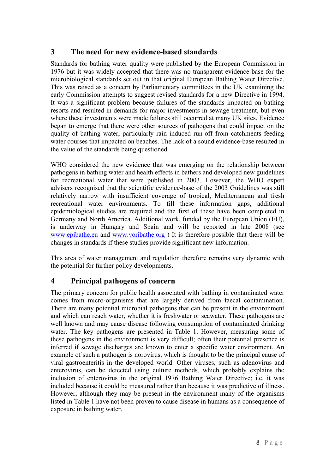### **3 The need for new evidence-based standards**

Standards for bathing water quality were published by the European Commission in 1976 but it was widely accepted that there was no transparent evidence-base for the microbiological standards set out in that original European Bathing Water Directive. This was raised as a concern by Parliamentary committees in the UK examining the early Commission attempts to suggest revised standards for a new Directive in 1994. It was a significant problem because failures of the standards impacted on bathing resorts and resulted in demands for major investments in sewage treatment, but even where these investments were made failures still occurred at many UK sites. Evidence began to emerge that there were other sources of pathogens that could impact on the quality of bathing water, particularly rain induced run-off from catchments feeding water courses that impacted on beaches. The lack of a sound evidence-base resulted in the value of the standards being questioned.

WHO considered the new evidence that was emerging on the relationship between pathogens in bathing water and health effects in bathers and developed new guidelines for recreational water that were published in 2003. However, the WHO expert advisers recognised that the scientific evidence-base of the 2003 Guidelines was still relatively narrow with insufficient coverage of tropical, Mediterranean and fresh recreational water environments. To fill these information gaps, additional epidemiological studies are required and the first of these have been completed in Germany and North America. Additional work, funded by the European Union (EU), is underway in Hungary and Spain and will be reported in late 2008 (see www.epibathe.eu and www.voribathe.org ) It is therefore possible that there will be changes in standards if these studies provide significant new information.

This area of water management and regulation therefore remains very dynamic with the potential for further policy developments.

### **4 Principal pathogens of concern**

The primary concern for public health associated with bathing in contaminated water comes from micro-organisms that are largely derived from faecal contamination. There are many potential microbial pathogens that can be present in the environment and which can reach water, whether it is freshwater or seawater. These pathogens are well known and may cause disease following consumption of contaminated drinking water. The key pathogens are presented in Table 1. However, measuring some of these pathogens in the environment is very difficult; often their potential presence is inferred if sewage discharges are known to enter a specific water environment. An example of such a pathogen is norovirus, which is thought to be the principal cause of viral gastroenteritis in the developed world. Other viruses, such as adenovirus and enterovirus, can be detected using culture methods, which probably explains the inclusion of enterovirus in the original 1976 Bathing Water Directive; i.e. it was included because it could be measured rather than because it was predictive of illness. However, although they may be present in the environment many of the organisms listed in Table 1 have not been proven to cause disease in humans as a consequence of exposure in bathing water.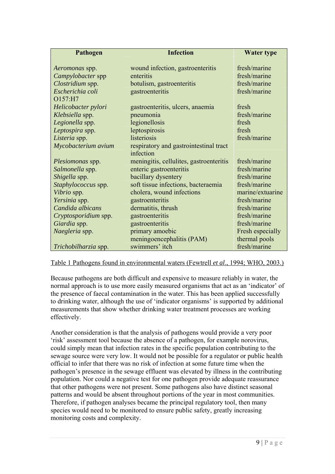| Pathogen                | <b>Infection</b>                        | <b>Water type</b> |  |
|-------------------------|-----------------------------------------|-------------------|--|
| Aeromonas spp.          | wound infection, gastroenteritis        | fresh/marine      |  |
| Campylobacter spp       | enteritis                               | fresh/marine      |  |
| Clostridium spp.        |                                         | fresh/marine      |  |
| Escherichia coli        | botulism, gastroenteritis               |                   |  |
| O157:H7                 | gastroenteritis                         | fresh/marine      |  |
| Helicobacter pylori     | gastroenteritis, ulcers, anaemia        | fresh             |  |
| Klebsiella spp.         | pneumonia                               | fresh/marine      |  |
| Legionella spp.         | legionellosis                           | fresh             |  |
| Leptospira spp.         | leptospirosis                           | fresh             |  |
| Listeria spp.           | listeriosis                             | fresh/marine      |  |
| Mycobacterium avium     | respiratory and gastrointestinal tract  |                   |  |
|                         | infection                               |                   |  |
| <i>Plesiomonas</i> spp. | meningitis, cellulites, gastroenteritis | fresh/marine      |  |
| Salmonella spp.         | enteric gastroenteritis                 | fresh/marine      |  |
| Shigella spp.           | bacillary dysentery                     | fresh/marine      |  |
| Staphylococcus spp.     | soft tissue infections, bacteraemia     | fresh/marine      |  |
| Vibrio spp.             | cholera, wound infections               | marine/extuarine  |  |
| Yersinia spp.           | gastroenteritis                         | fresh/marine      |  |
| Candida albicans        | dermatitis, thrush                      | fresh/marine      |  |
| Cryptosporidium spp.    | gastroenteritis                         | fresh/marine      |  |
| Giardia spp.            | gastroenteritis                         | fresh/marine      |  |
| Naegleria spp.          | primary amoebic                         | Fresh especially  |  |
|                         | meningoencephalitis (PAM)               | thermal pools     |  |
| Trichobilharzia spp.    | swimmers' itch                          | fresh/marine      |  |

#### Table 1 Pathogens found in environmental waters (Fewtrell *et al*., 1994; WHO, 2003.)

Because pathogens are both difficult and expensive to measure reliably in water, the normal approach is to use more easily measured organisms that act as an 'indicator' of the presence of faecal contamination in the water. This has been applied successfully to drinking water, although the use of 'indicator organisms' is supported by additional measurements that show whether drinking water treatment processes are working effectively.

Another consideration is that the analysis of pathogens would provide a very poor 'risk' assessment tool because the absence of a pathogen, for example norovirus, could simply mean that infection rates in the specific population contributing to the sewage source were very low. It would not be possible for a regulator or public health official to infer that there was no risk of infection at some future time when the pathogen's presence in the sewage effluent was elevated by illness in the contributing population. Nor could a negative test for one pathogen provide adequate reassurance that other pathogens were not present. Some pathogens also have distinct seasonal patterns and would be absent throughout portions of the year in most communities. Therefore, if pathogen analyses became the principal regulatory tool, then many species would need to be monitored to ensure public safety, greatly increasing monitoring costs and complexity.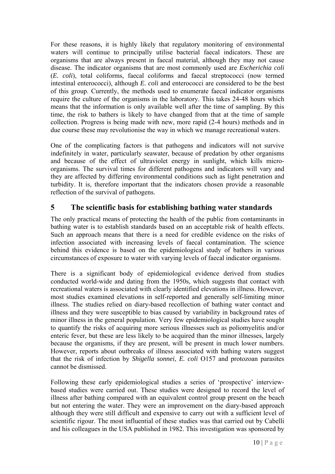For these reasons, it is highly likely that regulatory monitoring of environmental waters will continue to principally utilise bacterial faecal indicators. These are organisms that are always present in faecal material, although they may not cause disease. The indicator organisms that are most commonly used are *Escherichia coli* (*E. coli*), total coliforms, faecal coliforms and faecal streptococci (now termed intestinal enterococci), although *E. coli* and enterococci are considered to be the best of this group. Currently, the methods used to enumerate faecal indicator organisms require the culture of the organisms in the laboratory. This takes 24-48 hours which means that the information is only available well after the time of sampling. By this time, the risk to bathers is likely to have changed from that at the time of sample collection. Progress is being made with new, more rapid (2-4 hours) methods and in due course these may revolutionise the way in which we manage recreational waters.

One of the complicating factors is that pathogens and indicators will not survive indefinitely in water, particularly seawater, because of predation by other organisms and because of the effect of ultraviolet energy in sunlight, which kills microorganisms. The survival times for different pathogens and indicators will vary and they are affected by differing environmental conditions such as light penetration and turbidity. It is, therefore important that the indicators chosen provide a reasonable reflection of the survival of pathogens.

#### **5 The scientific basis for establishing bathing water standards**

The only practical means of protecting the health of the public from contaminants in bathing water is to establish standards based on an acceptable risk of health effects. Such an approach means that there is a need for credible evidence on the risks of infection associated with increasing levels of faecal contamination. The science behind this evidence is based on the epidemiological study of bathers in various circumstances of exposure to water with varying levels of faecal indicator organisms.

There is a significant body of epidemiological evidence derived from studies conducted world-wide and dating from the 1950s, which suggests that contact with recreational waters is associated with clearly identified elevations in illness. However, most studies examined elevations in self-reported and generally self-limiting minor illness. The studies relied on diary-based recollection of bathing water contact and illness and they were susceptible to bias caused by variability in background rates of minor illness in the general population. Very few epidemiological studies have sought to quantify the risks of acquiring more serious illnesses such as poliomyelitis and/or enteric fever, but these are less likely to be acquired than the minor illnesses, largely because the organisms, if they are present, will be present in much lower numbers. However, reports about outbreaks of illness associated with bathing waters suggest that the risk of infection by *Shigella sonnei*, *E. coli* O157 and protozoan parasites cannot be dismissed.

Following these early epidemiological studies a series of 'prospective' interviewbased studies were carried out. These studies were designed to record the level of illness after bathing compared with an equivalent control group present on the beach but not entering the water. They were an improvement on the diary-based approach although they were still difficult and expensive to carry out with a sufficient level of scientific rigour. The most influential of these studies was that carried out by Cabelli and his colleagues in the USA published in 1982. This investigation was sponsored by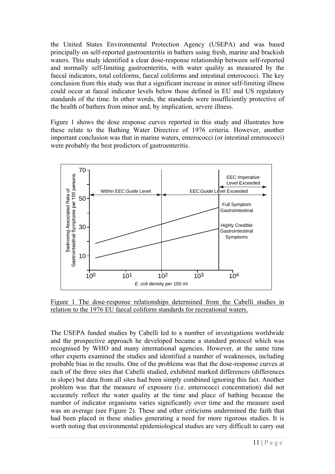the United States Environmental Protection Agency (USEPA) and was based principally on self-reported gastroenteritis in bathers using fresh, marine and brackish waters. This study identified a clear dose-response relationship between self-reported and normally self-limiting gastroenteritis, with water quality as measured by the faecal indicators, total coliforms, faecal coliforms and intestinal enterococci. The key conclusion from this study was that a significant increase in minor self-limiting illness could occur at faecal indicator levels below those defined in EU and US regulatory standards of the time. In other words, the standards were insufficiently protective of the health of bathers from minor and, by implication, severe illness.

Figure 1 shows the dose response curves reported in this study and illustrates how these relate to the Bathing Water Directive of 1976 criteria. However, another important conclusion was that in marine waters, enterococci (or intestinal enterococci) were probably the best predictors of gastroenteritis.



Figure 1 The dose-response relationships determined from the Cabelli studies in relation to the 1976 EU faecal coliform standards for recreational waters.

The USEPA funded studies by Cabelli led to a number of investigations worldwide and the prospective approach he developed became a standard protocol which was recognised by WHO and many international agencies. However, at the same time other experts examined the studies and identified a number of weaknesses, including probable bias in the results. One of the problems was that the dose-response curves at each of the three sites that Cabelli studied, exhibited marked differences (differences in slope) but data from all sites had been simply combined ignoring this fact. Another problem was that the measure of exposure (i.e. enterococci concentration) did not accurately reflect the water quality at the time and place of bathing because the number of indicator organisms varies significantly over time and the measure used was an average (see Figure 2). These and other criticisms undermined the faith that had been placed in these studies generating a need for more rigorous studies. It is worth noting that environmental epidemiological studies are very difficult to carry out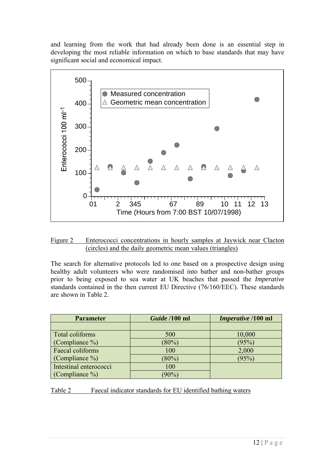and learning from the work that had already been done is an essential step in developing the most reliable information on which to base standards that may have significant social and economical impact.



| Figure 2 Enterococci concentrations in hourly samples at Jaywick near Clacton |                                                           |  |  |  |
|-------------------------------------------------------------------------------|-----------------------------------------------------------|--|--|--|
|                                                                               | (circles) and the daily geometric mean values (triangles) |  |  |  |

The search for alternative protocols led to one based on a prospective design using healthy adult volunteers who were randomised into bather and non-bather groups prior to being exposed to sea water at UK beaches that passed the *Imperative* standards contained in the then current EU Directive (76/160/EEC). These standards are shown in Table 2.

| <b>Parameter</b>       | Guide /100 ml | <i>Imperative</i> /100 ml |
|------------------------|---------------|---------------------------|
|                        |               |                           |
| Total coliforms        | 500           | 10,000                    |
| (Compliance %)         | $(80\%)$      | (95%)                     |
| Faecal coliforms       | 100           | 2,000                     |
| (Compliance $\%$ )     | $(80\%)$      | (95%)                     |
| Intestinal enterococci | 100           |                           |
| (Compliance $\%$ )     | $(90\%)$      |                           |

Table 2 Faecal indicator standards for EU identified bathing waters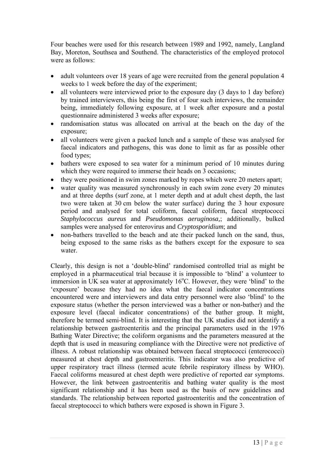Four beaches were used for this research between 1989 and 1992, namely, Langland Bay, Moreton, Southsea and Southend. The characteristics of the employed protocol were as follows:

- adult volunteers over 18 years of age were recruited from the general population 4 weeks to 1 week before the day of the experiment;
- all volunteers were interviewed prior to the exposure day (3 days to 1 day before) by trained interviewers, this being the first of four such interviews, the remainder being, immediately following exposure, at 1 week after exposure and a postal questionnaire administered 3 weeks after exposure;
- randomisation status was allocated on arrival at the beach on the day of the exposure;
- all volunteers were given a packed lunch and a sample of these was analysed for faecal indicators and pathogens, this was done to limit as far as possible other food types;
- bathers were exposed to sea water for a minimum period of 10 minutes during which they were required to immerse their heads on 3 occasions;
- they were positioned in swim zones marked by ropes which were 20 meters apart;
- water quality was measured synchronously in each swim zone every 20 minutes and at three depths (surf zone, at 1 meter depth and at adult chest depth, the last two were taken at 30 cm below the water surface) during the 3 hour exposure period and analysed for total coliform, faecal coliform, faecal streptococci *Staphylococcus aureus* and *Pseudomonas aeruginosa,*; additionally, bulked samples were analysed for enterovirus and *Cryptosporidium*; and
- non-bathers travelled to the beach and ate their packed lunch on the sand, thus, being exposed to the same risks as the bathers except for the exposure to sea water.

Clearly, this design is not a 'double-blind' randomised controlled trial as might be employed in a pharmaceutical trial because it is impossible to 'blind' a volunteer to immersion in UK sea water at approximately  $16^{\circ}$ C. However, they were 'blind' to the 'exposure' because they had no idea what the faecal indicator concentrations encountered were and interviewers and data entry personnel were also 'blind' to the exposure status (whether the person interviewed was a bather or non-bather) and the exposure level (faecal indicator concentrations) of the bather group. It might, therefore be termed semi-blind. It is interesting that the UK studies did not identify a relationship between gastroenteritis and the principal parameters used in the 1976 Bathing Water Directive; the coliform organisms and the parameters measured at the depth that is used in measuring compliance with the Directive were not predictive of illness. A robust relationship was obtained between faecal streptococci (enterococci) measured at chest depth and gastroenteritis. This indicator was also predictive of upper respiratory tract illness (termed acute febrile respiratory illness by WHO). Faecal coliforms measured at chest depth were predictive of reported ear symptoms. However, the link between gastroenteritis and bathing water quality is the most significant relationship and it has been used as the basis of new guidelines and standards. The relationship between reported gastroenteritis and the concentration of faecal streptococci to which bathers were exposed is shown in Figure 3.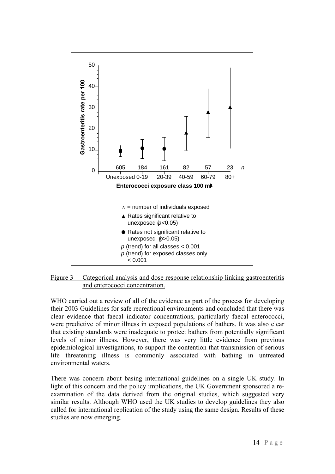

Figure 3 Categorical analysis and dose response relationship linking gastroenteritis and enterococci concentration.

WHO carried out a review of all of the evidence as part of the process for developing their 2003 Guidelines for safe recreational environments and concluded that there was clear evidence that faecal indicator concentrations, particularly faecal enterococci, were predictive of minor illness in exposed populations of bathers. It was also clear that existing standards were inadequate to protect bathers from potentially significant levels of minor illness. However, there was very little evidence from previous epidemiological investigations, to support the contention that transmission of serious life threatening illness is commonly associated with bathing in untreated environmental waters.

There was concern about basing international guidelines on a single UK study. In light of this concern and the policy implications, the UK Government sponsored a reexamination of the data derived from the original studies, which suggested very similar results. Although WHO used the UK studies to develop guidelines they also called for international replication of the study using the same design. Results of these studies are now emerging.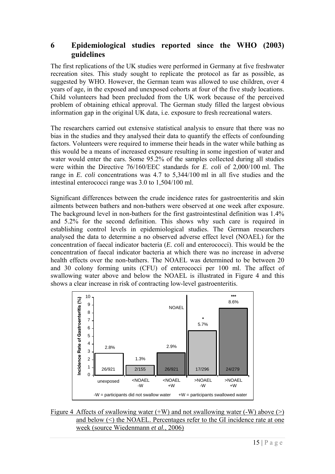#### **6 Epidemiological studies reported since the WHO (2003) guidelines**

The first replications of the UK studies were performed in Germany at five freshwater recreation sites. This study sought to replicate the protocol as far as possible, as suggested by WHO. However, the German team was allowed to use children, over 4 years of age, in the exposed and unexposed cohorts at four of the five study locations. Child volunteers had been precluded from the UK work because of the perceived problem of obtaining ethical approval. The German study filled the largest obvious information gap in the original UK data, i.e. exposure to fresh recreational waters.

The researchers carried out extensive statistical analysis to ensure that there was no bias in the studies and they analysed their data to quantify the effects of confounding factors. Volunteers were required to immerse their heads in the water while bathing as this would be a means of increased exposure resulting in some ingestion of water and water would enter the ears. Some 95.2% of the samples collected during all studies were within the Directive 76/160/EEC standards for *E. coli* of 2,000/100 ml. The range in *E. coli* concentrations was 4.7 to 5,344/100 ml in all five studies and the intestinal enterococci range was 3.0 to 1,504/100 ml.

Significant differences between the crude incidence rates for gastroenteritis and skin ailments between bathers and non-bathers were observed at one week after exposure. The background level in non-bathers for the first gastrointestinal definition was 1.4% and 5.2% for the second definition. This shows why such care is required in establishing control levels in epidemiological studies. The German researchers analysed the data to determine a no observed adverse effect level (NOAEL) for the concentration of faecal indicator bacteria (*E. coli* and enterococci). This would be the concentration of faecal indicator bacteria at which there was no increase in adverse health effects over the non-bathers. The NOAEL was determined to be between 20 and 30 colony forming units (CFU) of enterococci per 100 ml. The affect of swallowing water above and below the NOAEL is illustrated in Figure 4 and this shows a clear increase in risk of contracting low-level gastroenteritis.



Figure 4 Affects of swallowing water  $(+W)$  and not swallowing water  $(-W)$  above  $(>)$ and below (<) the NOAEL. Percentages refer to the GI incidence rate at one week (source Wiedenmann *et al.*, 2006)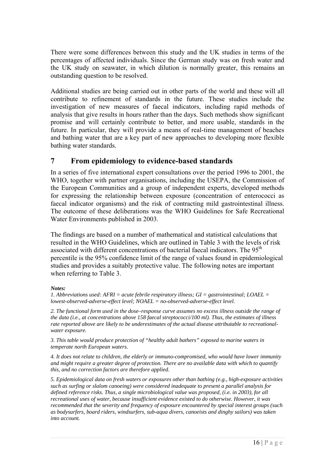There were some differences between this study and the UK studies in terms of the percentages of affected individuals. Since the German study was on fresh water and the UK study on seawater, in which dilution is normally greater, this remains an outstanding question to be resolved.

Additional studies are being carried out in other parts of the world and these will all contribute to refinement of standards in the future. These studies include the investigation of new measures of faecal indicators, including rapid methods of analysis that give results in hours rather than the days. Such methods show significant promise and will certainly contribute to better, and more usable, standards in the future. In particular, they will provide a means of real-time management of beaches and bathing water that are a key part of new approaches to developing more flexible bathing water standards.

#### **7 From epidemiology to evidence-based standards**

In a series of five international expert consultations over the period 1996 to 2001, the WHO, together with partner organisations, including the USEPA, the Commission of the European Communities and a group of independent experts, developed methods for expressing the relationship between exposure (concentration of enterococci as faecal indicator organisms) and the risk of contracting mild gastrointestinal illness. The outcome of these deliberations was the WHO Guidelines for Safe Recreational Water Environments published in 2003.

The findings are based on a number of mathematical and statistical calculations that resulted in the WHO Guidelines, which are outlined in Table 3 with the levels of risk associated with different concentrations of bacterial faecal indicators. The 95<sup>th</sup> percentile is the 95% confidence limit of the range of values found in epidemiological studies and provides a suitably protective value. The following notes are important when referring to Table 3.

#### *Notes:*

*1. Abbreviations used: AFRI = acute febrile respiratory illness; GI = gastrointestinal; LOAEL = lowest-observed-adverse-effect level; NOAEL = no-observed-adverse-effect level.* 

*2. The functional form used in the dose–response curve assumes no excess illness outside the range of the data (i.e., at concentrations above 158 faecal streptococci/100 ml). Thus, the estimates of illness rate reported above are likely to be underestimates of the actual disease attributable to recreationalwater exposure.* 

*3. This table would produce protection of "healthy adult bathers" exposed to marine waters in temperate north European waters.* 

*4. It does not relate to children, the elderly or immuno-compromised, who would have lower immunity and might require a greater degree of protection. There are no available data with which to quantify this, and no correction factors are therefore applied.* 

*5. Epidemiological data on fresh waters or exposures other than bathing (e.g., high-exposure activities such as surfing or slalom canoeing) were considered inadequate to present a parallel analysis for defined reference risks. Thus, a single microbiological value was proposed, (i.e. in 2003), for all recreational uses of water, because insufficient evidence existed to do otherwise. However, it was recommended that the severity and frequency of exposure encountered by special interest groups (such as bodysurfers, board riders, windsurfers, sub-aqua divers, canoeists and dinghy sailors) was taken into account.*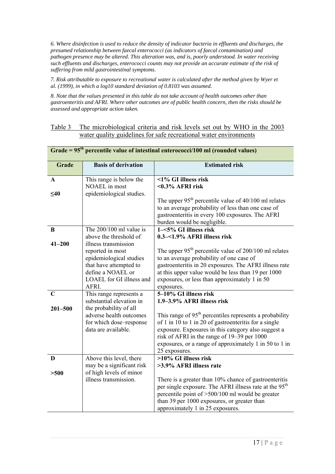*6. Where disinfection is used to reduce the density of indicator bacteria in effluents and discharges, the presumed relationship between faecal enterococci (as indicators of faecal contamination) and pathogen presence may be altered. This alteration was, and is, poorly understood. In water receiving such effluents and discharges, enterococci counts may not provide an accurate estimate of the risk of suffering from mild gastrointestinal symptoms.* 

*7. Risk attributable to exposure to recreational water is calculated after the method given by Wyer et al. (1999), in which a log10 standard deviation of 0.8103 was assumed.* 

*8. Note that the values presented in this table do not take account of health outcomes other than gastroenteritis and AFRI. Where other outcomes are of public health concern, then the risks should be assessed and appropriate action taken.* 

#### Table 3 The microbiological criteria and risk levels set out by WHO in the 2003 water quality guidelines for safe recreational water environments

| percentific value of intestinal enterococci/100 mi (rounded values) |                                   |                                                                                                                             |  |  |
|---------------------------------------------------------------------|-----------------------------------|-----------------------------------------------------------------------------------------------------------------------------|--|--|
| Grade                                                               | <b>Basis of derivation</b>        | <b>Estimated risk</b>                                                                                                       |  |  |
| $\mathbf{A}$                                                        | This range is below the           | <1% GI illness risk                                                                                                         |  |  |
|                                                                     | NOAEL in most                     | $<0.3\%$ AFRI risk                                                                                                          |  |  |
| $\leq 40$                                                           | epidemiological studies.          |                                                                                                                             |  |  |
|                                                                     |                                   | The upper $95th$ percentile value of 40/100 ml relates                                                                      |  |  |
|                                                                     |                                   | to an average probability of less than one case of                                                                          |  |  |
|                                                                     |                                   | gastroenteritis in every 100 exposures. The AFRI                                                                            |  |  |
| $\bf{B}$                                                            | The $200/100$ ml value is         | burden would be negligible.<br>1-<5% GI illness risk                                                                        |  |  |
|                                                                     | above the threshold of            | 0.3-<1.9% AFRI illness risk                                                                                                 |  |  |
| $41 - 200$                                                          | illness transmission              |                                                                                                                             |  |  |
|                                                                     | reported in most                  | The upper $95th$ percentile value of 200/100 ml relates                                                                     |  |  |
|                                                                     | epidemiological studies           | to an average probability of one case of                                                                                    |  |  |
|                                                                     | that have attempted to            | gastroenteritis in 20 exposures. The AFRI illness rate                                                                      |  |  |
|                                                                     | define a NOAEL or                 | at this upper value would be less than 19 per 1000                                                                          |  |  |
|                                                                     | LOAEL for GI illness and<br>AFRI. | exposures, or less than approximately 1 in 50<br>exposures.                                                                 |  |  |
| $\mathbf C$                                                         | This range represents a           | 5-10% GI illness risk                                                                                                       |  |  |
|                                                                     | substantial elevation in          | 1.9-3.9% AFRI illness risk                                                                                                  |  |  |
| $201 - 500$                                                         | the probability of all            |                                                                                                                             |  |  |
|                                                                     | adverse health outcomes           | This range of $95th$ percentiles represents a probability                                                                   |  |  |
|                                                                     | for which dose-response           | of 1 in 10 to 1 in 20 of gastroenteritis for a single                                                                       |  |  |
|                                                                     | data are available.               | exposure. Exposures in this category also suggest a<br>risk of AFRI in the range of 19–39 per 1000                          |  |  |
|                                                                     |                                   | exposures, or a range of approximately 1 in 50 to 1 in                                                                      |  |  |
|                                                                     |                                   | 25 exposures.                                                                                                               |  |  |
| D                                                                   | Above this level, there           | >10% GI illness risk                                                                                                        |  |  |
|                                                                     | may be a significant risk         | >3.9% AFRI illness rate                                                                                                     |  |  |
| >500                                                                | of high levels of minor           |                                                                                                                             |  |  |
|                                                                     | illness transmission.             | There is a greater than 10% chance of gastroenteritis<br>per single exposure. The AFRI illness rate at the 95 <sup>th</sup> |  |  |
|                                                                     |                                   | percentile point of >500/100 ml would be greater                                                                            |  |  |
|                                                                     |                                   | than 39 per 1000 exposures, or greater than                                                                                 |  |  |
|                                                                     |                                   | approximately 1 in 25 exposures.                                                                                            |  |  |

#### **Grade = 95th percentile value of intestinal enterococci/100 ml (rounded values)**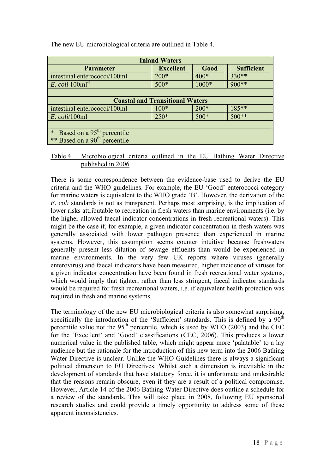| <b>Inland Waters</b>                             |                  |        |                   |  |  |
|--------------------------------------------------|------------------|--------|-------------------|--|--|
| <b>Parameter</b>                                 | <b>Excellent</b> | Good   | <b>Sufficient</b> |  |  |
| intestinal enterococci/100ml                     | $200*$           | $400*$ | $330**$           |  |  |
| <i>E. coli</i> 100ml <sup>-1</sup>               | $500*$           | 1000*  | 900**             |  |  |
|                                                  |                  |        |                   |  |  |
| <b>Coastal and Transitional Waters</b>           |                  |        |                   |  |  |
| intestinal enterococci/100ml                     | $100*$           | $200*$ | $185***$          |  |  |
| $E.$ coli/100ml                                  | $250*$           | $500*$ | $500**$           |  |  |
|                                                  |                  |        |                   |  |  |
| Based on a 95 <sup>th</sup> percentile<br>$\ast$ |                  |        |                   |  |  |
| ** Based on a 90 <sup>th</sup> percentile        |                  |        |                   |  |  |

The new EU microbiological criteria are outlined in Table 4.

Table 4 Microbiological criteria outlined in the EU Bathing Water Directive published in 2006

There is some correspondence between the evidence-base used to derive the EU criteria and the WHO guidelines. For example, the EU 'Good' enterococci category for marine waters is equivalent to the WHO grade 'B'. However, the derivation of the *E. coli* standards is not as transparent. Perhaps most surprising, is the implication of lower risks attributable to recreation in fresh waters than marine environments (i.e. by the higher allowed faecal indicator concentrations in fresh recreational waters). This might be the case if, for example, a given indicator concentration in fresh waters was generally associated with lower pathogen presence than experienced in marine systems. However, this assumption seems counter intuitive because freshwaters generally present less dilution of sewage effluents than would be experienced in marine environments. In the very few UK reports where viruses (generally enterovirus) and faecal indicators have been measured, higher incidence of viruses for a given indicator concentration have been found in fresh recreational water systems, which would imply that tighter, rather than less stringent, faecal indicator standards would be required for fresh recreational waters, i.e. if equivalent health protection was required in fresh and marine systems.

The terminology of the new EU microbiological criteria is also somewhat surprising, specifically the introduction of the 'Sufficient' standards. This is defined by a  $90<sup>th</sup>$ percentile value not the  $95<sup>th</sup>$  percentile, which is used by WHO (2003) and the CEC for the 'Excellent' and 'Good' classifications (CEC, 2006). This produces a lower numerical value in the published table, which might appear more 'palatable' to a lay audience but the rationale for the introduction of this new term into the 2006 Bathing Water Directive is unclear. Unlike the WHO Guidelines there is always a significant political dimension to EU Directives. Whilst such a dimension is inevitable in the development of standards that have statutory force, it is unfortunate and undesirable that the reasons remain obscure, even if they are a result of a political compromise. However, Article 14 of the 2006 Bathing Water Directive does outline a schedule for a review of the standards. This will take place in 2008, following EU sponsored research studies and could provide a timely opportunity to address some of these apparent inconsistencies.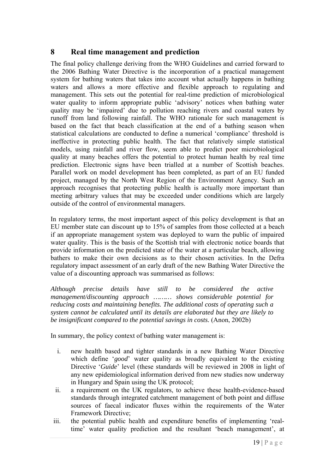### **8 Real time management and prediction**

The final policy challenge deriving from the WHO Guidelines and carried forward to the 2006 Bathing Water Directive is the incorporation of a practical management system for bathing waters that takes into account what actually happens in bathing waters and allows a more effective and flexible approach to regulating and management. This sets out the potential for real-time prediction of microbiological water quality to inform appropriate public 'advisory' notices when bathing water quality may be 'impaired' due to pollution reaching rivers and coastal waters by runoff from land following rainfall. The WHO rationale for such management is based on the fact that beach classification at the end of a bathing season when statistical calculations are conducted to define a numerical 'compliance' threshold is ineffective in protecting public health. The fact that relatively simple statistical models, using rainfall and river flow, seem able to predict poor microbiological quality at many beaches offers the potential to protect human health by real time prediction. Electronic signs have been trialled at a number of Scottish beaches. Parallel work on model development has been completed, as part of an EU funded project, managed by the North West Region of the Environment Agency. Such an approach recognises that protecting public health is actually more important than meeting arbitrary values that may be exceeded under conditions which are largely outside of the control of environmental managers.

In regulatory terms, the most important aspect of this policy development is that an EU member state can discount up to 15% of samples from those collected at a beach if an appropriate management system was deployed to warn the public of impaired water quality. This is the basis of the Scottish trial with electronic notice boards that provide information on the predicted state of the water at a particular beach, allowing bathers to make their own decisions as to their chosen activities. In the Defra regulatory impact assessment of an early draft of the new Bathing Water Directive the value of a discounting approach was summarised as follows:

*Although precise details have still to be considered the active management/discounting approach ……… shows considerable potential for reducing costs and maintaining benefits. The additional costs of operating such a system cannot be calculated until its details are elaborated but they are likely to be insignificant compared to the potential savings in costs.* (Anon, 2002b)

In summary, the policy context of bathing water management is:

- i. new health based and tighter standards in a new Bathing Water Directive which define '*good*' water quality as broadly equivalent to the existing Directive '*Guide*' level (these standards will be reviewed in 2008 in light of any new epidemiological information derived from new studies now underway in Hungary and Spain using the UK protocol;
- ii. a requirement on the UK regulators, to achieve these health-evidence-based standards through integrated catchment management of both point and diffuse sources of faecal indicator fluxes within the requirements of the Water Framework Directive;
- iii. the potential public health and expenditure benefits of implementing 'realtime' water quality prediction and the resultant 'beach management', at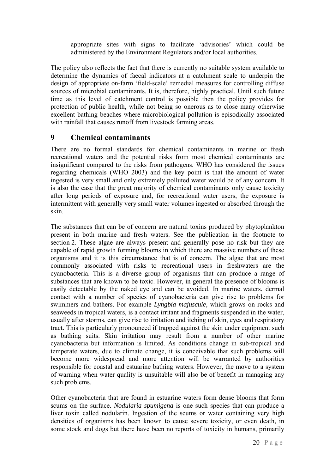appropriate sites with signs to facilitate 'advisories' which could be administered by the Environment Regulators and/or local authorities.

The policy also reflects the fact that there is currently no suitable system available to determine the dynamics of faecal indicators at a catchment scale to underpin the design of appropriate on-farm 'field-scale' remedial measures for controlling diffuse sources of microbial contaminants. It is, therefore, highly practical. Until such future time as this level of catchment control is possible then the policy provides for protection of public health, while not being so onerous as to close many otherwise excellent bathing beaches where microbiological pollution is episodically associated with rainfall that causes runoff from livestock farming areas.

### **9 Chemical contaminants**

There are no formal standards for chemical contaminants in marine or fresh recreational waters and the potential risks from most chemical contaminants are insignificant compared to the risks from pathogens. WHO has considered the issues regarding chemicals (WHO 2003) and the key point is that the amount of water ingested is very small and only extremely polluted water would be of any concern. It is also the case that the great majority of chemical contaminants only cause toxicity after long periods of exposure and, for recreational water users, the exposure is intermittent with generally very small water volumes ingested or absorbed through the skin.

The substances that can be of concern are natural toxins produced by phytoplankton present in both marine and fresh waters. See the publication in the footnote to section 2. These algae are always present and generally pose no risk but they are capable of rapid growth forming blooms in which there are massive numbers of these organisms and it is this circumstance that is of concern. The algae that are most commonly associated with risks to recreational users in freshwaters are the cyanobacteria. This is a diverse group of organisms that can produce a range of substances that are known to be toxic. However, in general the presence of blooms is easily detectable by the naked eye and can be avoided. In marine waters, dermal contact with a number of species of cyanobacteria can give rise to problems for swimmers and bathers. For example *Lyngbia majuscule,* which grows on rocks and seaweeds in tropical waters, is a contact irritant and fragments suspended in the water, usually after storms, can give rise to irritation and itching of skin, eyes and respiratory tract. This is particularly pronounced if trapped against the skin under equipment such as bathing suits. Skin irritation may result from a number of other marine cyanobacteria but information is limited. As conditions change in sub-tropical and temperate waters, due to climate change, it is conceivable that such problems will become more widespread and more attention will be warranted by authorities responsible for coastal and estuarine bathing waters. However, the move to a system of warning when water quality is unsuitable will also be of benefit in managing any such problems.

Other cyanobacteria that are found in estuarine waters form dense blooms that form scums on the surface. *Nodularia spumigena* is one such species that can produce a liver toxin called nodularin. Ingestion of the scums or water containing very high densities of organisms has been known to cause severe toxicity, or even death, in some stock and dogs but there have been no reports of toxicity in humans, primarily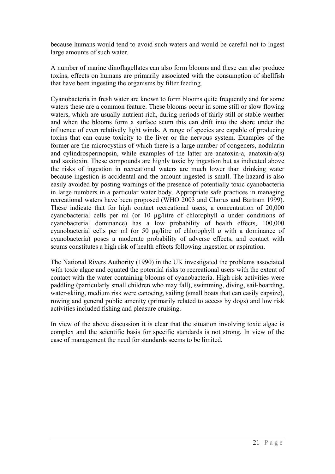because humans would tend to avoid such waters and would be careful not to ingest large amounts of such water.

A number of marine dinoflagellates can also form blooms and these can also produce toxins, effects on humans are primarily associated with the consumption of shellfish that have been ingesting the organisms by filter feeding.

Cyanobacteria in fresh water are known to form blooms quite frequently and for some waters these are a common feature. These blooms occur in some still or slow flowing waters, which are usually nutrient rich, during periods of fairly still or stable weather and when the blooms form a surface scum this can drift into the shore under the influence of even relatively light winds. A range of species are capable of producing toxins that can cause toxicity to the liver or the nervous system. Examples of the former are the microcystins of which there is a large number of congeners, nodularin and cylindrospermopsin, while examples of the latter are anatoxin-a, anatoxin-a(s) and saxitoxin. These compounds are highly toxic by ingestion but as indicated above the risks of ingestion in recreational waters are much lower than drinking water because ingestion is accidental and the amount ingested is small. The hazard is also easily avoided by posting warnings of the presence of potentially toxic cyanobacteria in large numbers in a particular water body. Appropriate safe practices in managing recreational waters have been proposed (WHO 2003 and Chorus and Bartram 1999). These indicate that for high contact recreational users, a concentration of 20,000 cyanobacterial cells per ml (or 10 μg/litre of chlorophyll *a* under conditions of cyanobacterial dominance) has a low probability of health effects, 100,000 cyanobacterial cells per ml (or 50 μg/litre of chlorophyll *a* with a dominance of cyanobacteria) poses a moderate probability of adverse effects, and contact with scums constitutes a high risk of health effects following ingestion or aspiration.

The National Rivers Authority (1990) in the UK investigated the problems associated with toxic algae and equated the potential risks to recreational users with the extent of contact with the water containing blooms of cyanobacteria. High risk activities were paddling (particularly small children who may fall), swimming, diving, sail-boarding, water-skiing, medium risk were canoeing, sailing (small boats that can easily capsize), rowing and general public amenity (primarily related to access by dogs) and low risk activities included fishing and pleasure cruising.

In view of the above discussion it is clear that the situation involving toxic algae is complex and the scientific basis for specific standards is not strong. In view of the ease of management the need for standards seems to be limited.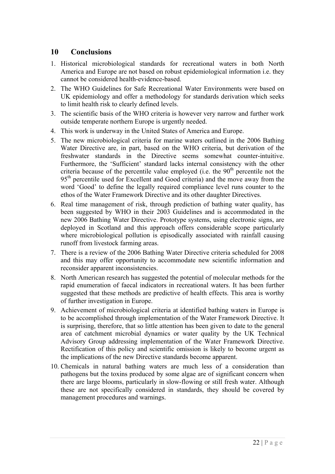#### **10 Conclusions**

- 1. Historical microbiological standards for recreational waters in both North America and Europe are not based on robust epidemiological information i.e. they cannot be considered health-evidence-based.
- 2. The WHO Guidelines for Safe Recreational Water Environments were based on UK epidemiology and offer a methodology for standards derivation which seeks to limit health risk to clearly defined levels.
- 3. The scientific basis of the WHO criteria is however very narrow and further work outside temperate northern Europe is urgently needed.
- 4. This work is underway in the United States of America and Europe.
- 5. The new microbiological criteria for marine waters outlined in the 2006 Bathing Water Directive are, in part, based on the WHO criteria, but derivation of the freshwater standards in the Directive seems somewhat counter-intuitive. Furthermore, the 'Sufficient' standard lacks internal consistency with the other criteria because of the percentile value employed (i.e. the  $90<sup>th</sup>$  percentile not the 95<sup>th</sup> percentile used for Excellent and Good criteria) and the move away from the word 'Good' to define the legally required compliance level runs counter to the ethos of the Water Framework Directive and its other daughter Directives.
- 6. Real time management of risk, through prediction of bathing water quality, has been suggested by WHO in their 2003 Guidelines and is accommodated in the new 2006 Bathing Water Directive. Prototype systems, using electronic signs, are deployed in Scotland and this approach offers considerable scope particularly where microbiological pollution is episodically associated with rainfall causing runoff from livestock farming areas.
- 7. There is a review of the 2006 Bathing Water Directive criteria scheduled for 2008 and this may offer opportunity to accommodate new scientific information and reconsider apparent inconsistencies.
- 8. North American research has suggested the potential of molecular methods for the rapid enumeration of faecal indicators in recreational waters. It has been further suggested that these methods are predictive of health effects. This area is worthy of further investigation in Europe.
- 9. Achievement of microbiological criteria at identified bathing waters in Europe is to be accomplished through implementation of the Water Framework Directive. It is surprising, therefore, that so little attention has been given to date to the general area of catchment microbial dynamics or water quality by the UK Technical Advisory Group addressing implementation of the Water Framework Directive. Rectification of this policy and scientific omission is likely to become urgent as the implications of the new Directive standards become apparent.
- 10. Chemicals in natural bathing waters are much less of a consideration than pathogens but the toxins produced by some algae are of significant concern when there are large blooms, particularly in slow-flowing or still fresh water. Although these are not specifically considered in standards, they should be covered by management procedures and warnings.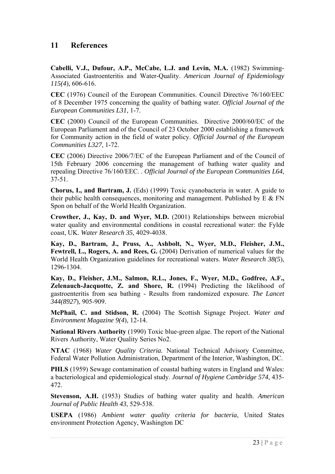### **11 References**

**Cabelli, V.J., Dufour, A.P., McCabe, L.J. and Levin, M.A.** (1982) Swimming-Associated Gastroenteritis and Water-Quality. *American Journal of Epidemiology 115(4*), 606-616.

**CEC** (1976) Council of the European Communities. Council Directive 76/160/EEC of 8 December 1975 concerning the quality of bathing water. *Official Journal of the European Communities L31*, 1-7.

**CEC** (2000) Council of the European Communities. Directive 2000/60/EC of the European Parliament and of the Council of 23 October 2000 establishing a framework for Community action in the field of water policy. *Official Journal of the European Communities L327*, 1-72.

**CEC** (2006) Directive 2006/7/EC of the European Parliament and of the Council of 15th February 2006 concerning the management of bathing water quality and repealing Directive 76/160/EEC. . *Official Journal of the European Communities L64*, 37-51.

**Chorus, I., and Bartram, J.** (Eds) (1999) Toxic cyanobacteria in water. A guide to their public health consequences, monitoring and management. Published by  $E \& FN$ Spon on behalf of the World Health Organization.

**Crowther, J., Kay, D. and Wyer, M.D.** (2001) Relationships between microbial water quality and environmental conditions in coastal recreational water: the Fylde coast, UK. *Water Research 35*, 4029-4038.

**Kay, D., Bartram, J., Pruss, A., Ashbolt, N., Wyer, M.D., Fleisher, J.M.,**  Fewtrell, L., Rogers, A. and Rees, G. (2004) Derivation of numerical values for the World Health Organization guidelines for recreational waters. *Water Research 38(5*), 1296-1304.

**Kay, D., Fleisher, J.M., Salmon, R.L., Jones, F., Wyer, M.D., Godfree, A.F., Zelenauch-Jacquotte, Z. and Shore, R.** (1994) Predicting the likelihood of gastroenteritis from sea bathing - Results from randomized exposure. *The Lancet 344(8927*), 905-909.

**McPhail, C. and Stidson, R.** (2004) The Scottish Signage Project. *Water and Environment Magazine 9(4*), 12-14.

**National Rivers Authority** (1990) Toxic blue-green algae. The report of the National Rivers Authority, Water Quality Series No2.

**NTAC** (1968) *Water Quality Criteria.* National Technical Advisory Committee, Federal Water Pollution Administration, Department of the Interior, Washington, DC.

**PHLS** (1959) Sewage contamination of coastal bathing waters in England and Wales: a bacteriological and epidemiological study. *Journal of Hygiene Cambridge 574*, 435- 472.

**Stevenson, A.H.** (1953) Studies of bathing water quality and health. *American Journal of Public Health 43*, 529-538.

**USEPA** (1986) *Ambient water quality criteria for bacteria*, United States environment Protection Agency, Washington DC